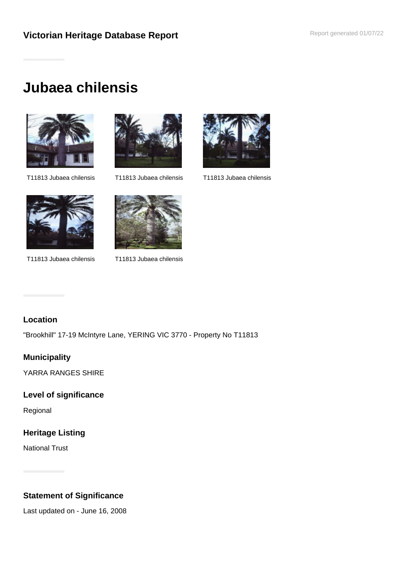# **Victorian Heritage Database Report <b>Report Separal** Report generated 01/07/22

# **Jubaea chilensis**





T11813 Jubaea chilensis T11813 Jubaea chilensis T11813 Jubaea chilensis





T11813 Jubaea chilensis T11813 Jubaea chilensis



#### **Location**

"Brookhill" 17-19 McIntyre Lane, YERING VIC 3770 - Property No T11813

## **Municipality**

YARRA RANGES SHIRE

#### **Level of significance**

Regional

## **Heritage Listing**

National Trust

## **Statement of Significance**

Last updated on - June 16, 2008